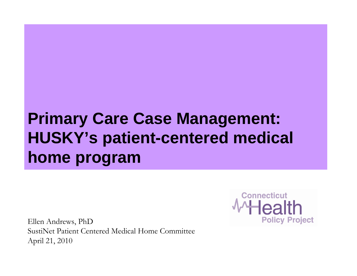#### **Primary Care Case Management: HUSKY's patient-centered medical home program**

Ellen Andrews, PhD SustiNet Patient Centered Medical Home CommitteeApril 21, 2010

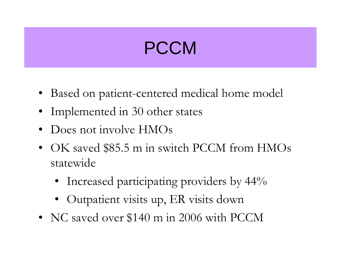## PCCM

- Based on patient-centered medical home model
- Implemented in 30 other states
- $\bullet$ Does not involve HMOs
- • OK saved \$85.5 m in switch PCCM from HMOs statewide
	- Increased participating providers by 44%
	- Outpatient visits up, ER visits down
- NC saved over \$140 m in 2006 with PCCM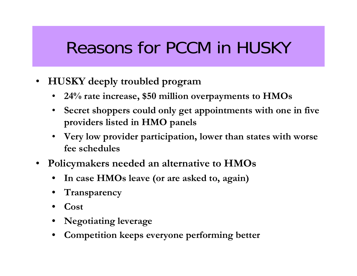# Reasons for PCCM in HUSKY

- $\bullet$  **HUSKY deeply troubled program**
	- **24% rate increase, \$50 million overpayments to HMOs**
	- $\bullet$  **Secret shoppers could only get appointments with one in five providers listed in HMO panels**
	- $\bullet$  **Very low provider participation, lower than states with worse fee schedules**
- • **Policymakers needed an alternative to HMOs**
	- **In case HMOs leave (or are asked to, again)**
	- **Transparency**
	- **Cost**
	- **Negotiating leverage**
	- **Competition keeps everyone performing better**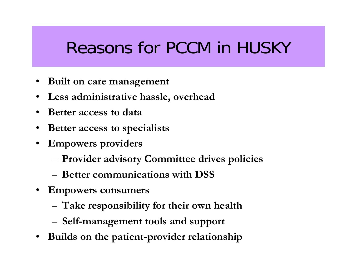# Reasons for PCCM in HUSKY

- •**Built on care management**
- $\bullet$ **Less administrative hassle, overhead**
- •**Better access to data**
- •**Better access to specialists**
- • **Empowers providers**
	- **Provider advisory Committee drives policies**
	- **Better communications with DSS**
- • **Empowers consumers**
	- **Take responsibility for their own health**
	- **Self-management tools and support**
- •**Builds on the patient-provider relationship**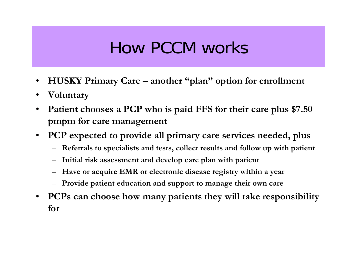# How PCCM works

- $\bullet$ **HUSKY Primary Care – another "plan" option for enrollment**
- •**Voluntary**
- $\bullet$  **Patient chooses a PCP who is paid FFS for their care plus \$7.50 pmpm for care management**
- • **PCP expected to provide all primary care services needed, plus** 
	- –**Referrals to specialists and tests, collect results and follow up with patient**
	- –**Initial risk assessment and develop care plan with patient**
	- –**Have or acquire EMR or electronic disease registry within a year**
	- **Provide patient education and support to manage their own care**
- $\bullet$  **PCPs can choose how many patients they will take responsibility for**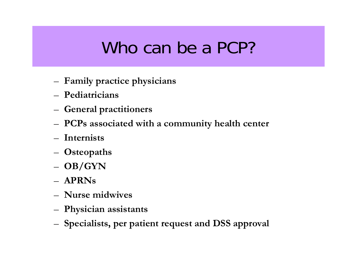# Who can be a PCP?

- –**Family practice physicians**
- **Pediatricians**
- –**General practitioners**
- –**PCPs associated with a community health center**
- **Internists**
- –**Osteopaths**
- **OB/GYN**
- **APRNs**
- **Nurse midwives**
- –**Physician assistants**
- –**Specialists, per patient request and DSS approval**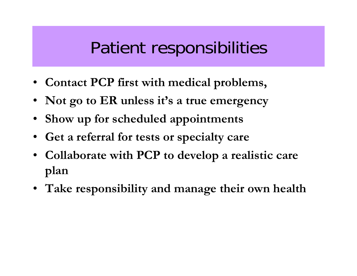#### Patient responsibilities

- **Contact PCP first with medical problems,**
- **Not go to ER unless it's a true emergency**
- •**Show up for scheduled appointments**
- **Get a referral for tests or specialty care**
- **Collaborate with PCP to develop a realistic care plan**
- **Take responsibility and manage their own health**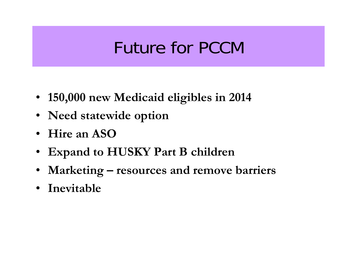### Future for PCCM

- **150,000 new Medicaid eligibles in 2014**
- **Need statewide option**
- **Hire an ASO**
- •**Expand to HUSKY Part B children**
- •**Marketing – resources and remove barriers**
- **Inevitable**